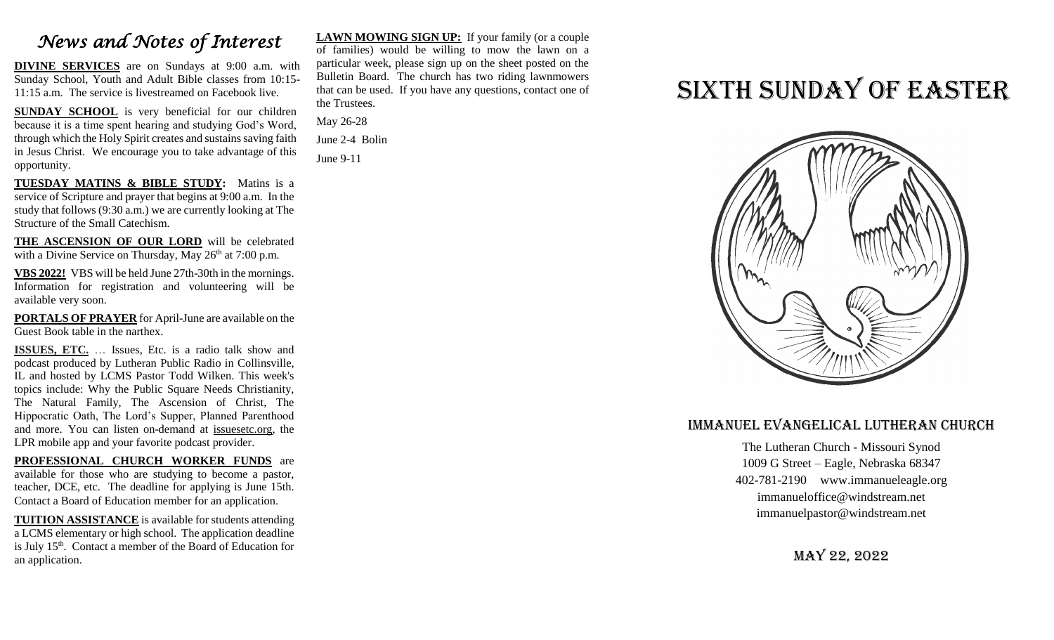## *News and Notes of Interest*

**DIVINE SERVICES** are on Sundays at 9:00 a.m. with Sunday School, Youth and Adult Bible classes from 10:15- 11:15 a.m. The service is livestreamed on Facebook live.

**SUNDAY SCHOOL** is very beneficial for our children because it is a time spent hearing and studying God's Word, through which the Holy Spirit creates and sustains saving faith in Jesus Christ. We encourage you to take advantage of this opportunity.

**TUESDAY MATINS & BIBLE STUDY:** Matins is a service of Scripture and prayer that begins at 9:00 a.m. In the study that follows (9:30 a.m.) we are currently looking at The Structure of the Small Catechism.

**THE ASCENSION OF OUR LORD** will be celebrated with a Divine Service on Thursday, May  $26<sup>th</sup>$  at 7:00 p.m.

**VBS 2022!** VBS will be held June 27th-30th in the mornings. Information for registration and volunteering will be available very soon.

**PORTALS OF PRAYER** for April-June are available on the Guest Book table in the narthex.

**ISSUES, ETC.** … Issues, Etc. is a radio talk show and podcast produced by Lutheran Public Radio in Collinsville, IL and hosted by LCMS Pastor Todd Wilken. This week's topics include: Why the Public Square Needs Christianity, The Natural Family, The Ascension of Christ, The Hippocratic Oath, The Lord's Supper, Planned Parenthood and more. You can listen on-demand at [issuesetc.org,](http://r20.rs6.net/tn.jsp?f=001XltHUglAGihDwKg2LCVDVVAySCwUycj-pcDpmmbN6wc1op0BVtNrpeqRkDfWfRAR5HynrRwLD83UqUIEJFPoiyUbb9oq-5NovlALbsX07AGF4oYdP5zeLv9V3GeLojzC1uT1hueIv5zkEmdvlnbsrg==&c=EiyJYE_hckiSK1t9SJM8ARW6CIGIMPcJnNCoGIwRdJwORtvjHVDj6w==&ch=VWkUhocZc5I58mtUGYB_xdpIOWFrqcpl3qqqaxS1LlOA7ypD-yH3kg==) the LPR mobile app and your favorite podcast provider.

**PROFESSIONAL CHURCH WORKER FUNDS** are available for those who are studying to become a pastor, teacher, DCE, etc. The deadline for applying is June 15th. Contact a Board of Education member for an application.

**TUITION ASSISTANCE** is available for students attending a LCMS elementary or high school. The application deadline is July 15<sup>th</sup>. Contact a member of the Board of Education for an application.

**LAWN MOWING SIGN UP:** If your family (or a couple of families) would be willing to mow the lawn on a particular week, please sign up on the sheet posted on the Bulletin Board. The church has two riding lawnmowers that can be used. If you have any questions, contact one of the Trustees.

May 26-28 June 2-4 Bolin

June 9-11

# Sixth Sunday of Easter



#### Immanuel Evangelical Lutheran Church

The Lutheran Church - Missouri Synod 1009 G Street – Eagle, Nebraska 68347 402-781-2190 www.immanueleagle.org [immanueloffice@windstream.net](mailto:immanueloffice@windstream.net) [immanuelpastor@windstream.net](mailto:immanuelpastor@windstream.net)

May 22, 2022